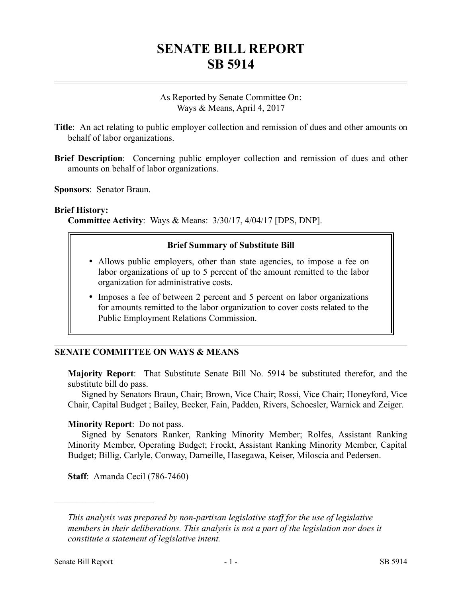# **SENATE BILL REPORT SB 5914**

### As Reported by Senate Committee On: Ways & Means, April 4, 2017

- **Title**: An act relating to public employer collection and remission of dues and other amounts on behalf of labor organizations.
- **Brief Description**: Concerning public employer collection and remission of dues and other amounts on behalf of labor organizations.

**Sponsors**: Senator Braun.

#### **Brief History:**

**Committee Activity**: Ways & Means: 3/30/17, 4/04/17 [DPS, DNP].

#### **Brief Summary of Substitute Bill**

- Allows public employers, other than state agencies, to impose a fee on labor organizations of up to 5 percent of the amount remitted to the labor organization for administrative costs.
- Imposes a fee of between 2 percent and 5 percent on labor organizations for amounts remitted to the labor organization to cover costs related to the Public Employment Relations Commission.

#### **SENATE COMMITTEE ON WAYS & MEANS**

**Majority Report**: That Substitute Senate Bill No. 5914 be substituted therefor, and the substitute bill do pass.

Signed by Senators Braun, Chair; Brown, Vice Chair; Rossi, Vice Chair; Honeyford, Vice Chair, Capital Budget ; Bailey, Becker, Fain, Padden, Rivers, Schoesler, Warnick and Zeiger.

#### **Minority Report**: Do not pass.

Signed by Senators Ranker, Ranking Minority Member; Rolfes, Assistant Ranking Minority Member, Operating Budget; Frockt, Assistant Ranking Minority Member, Capital Budget; Billig, Carlyle, Conway, Darneille, Hasegawa, Keiser, Miloscia and Pedersen.

**Staff**: Amanda Cecil (786-7460)

––––––––––––––––––––––

*This analysis was prepared by non-partisan legislative staff for the use of legislative members in their deliberations. This analysis is not a part of the legislation nor does it constitute a statement of legislative intent.*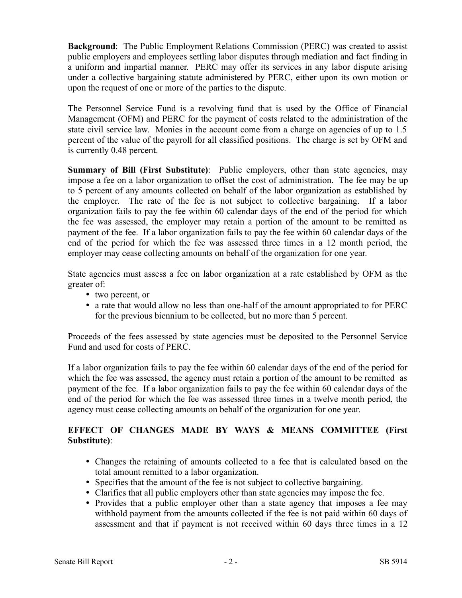**Background**: The Public Employment Relations Commission (PERC) was created to assist public employers and employees settling labor disputes through mediation and fact finding in a uniform and impartial manner. PERC may offer its services in any labor dispute arising under a collective bargaining statute administered by PERC, either upon its own motion or upon the request of one or more of the parties to the dispute.

The Personnel Service Fund is a revolving fund that is used by the Office of Financial Management (OFM) and PERC for the payment of costs related to the administration of the state civil service law. Monies in the account come from a charge on agencies of up to 1.5 percent of the value of the payroll for all classified positions. The charge is set by OFM and is currently 0.48 percent.

**Summary of Bill (First Substitute)**: Public employers, other than state agencies, may impose a fee on a labor organization to offset the cost of administration. The fee may be up to 5 percent of any amounts collected on behalf of the labor organization as established by the employer. The rate of the fee is not subject to collective bargaining. If a labor organization fails to pay the fee within 60 calendar days of the end of the period for which the fee was assessed, the employer may retain a portion of the amount to be remitted as payment of the fee. If a labor organization fails to pay the fee within 60 calendar days of the end of the period for which the fee was assessed three times in a 12 month period, the employer may cease collecting amounts on behalf of the organization for one year.

State agencies must assess a fee on labor organization at a rate established by OFM as the greater of:

- two percent, or
- a rate that would allow no less than one-half of the amount appropriated to for PERC for the previous biennium to be collected, but no more than 5 percent.

Proceeds of the fees assessed by state agencies must be deposited to the Personnel Service Fund and used for costs of PERC.

If a labor organization fails to pay the fee within 60 calendar days of the end of the period for which the fee was assessed, the agency must retain a portion of the amount to be remitted as payment of the fee. If a labor organization fails to pay the fee within 60 calendar days of the end of the period for which the fee was assessed three times in a twelve month period, the agency must cease collecting amounts on behalf of the organization for one year.

## **EFFECT OF CHANGES MADE BY WAYS & MEANS COMMITTEE (First Substitute)**:

- Changes the retaining of amounts collected to a fee that is calculated based on the total amount remitted to a labor organization.
- Specifies that the amount of the fee is not subject to collective bargaining.
- Clarifies that all public employers other than state agencies may impose the fee.
- Provides that a public employer other than a state agency that imposes a fee may withhold payment from the amounts collected if the fee is not paid within 60 days of assessment and that if payment is not received within 60 days three times in a 12